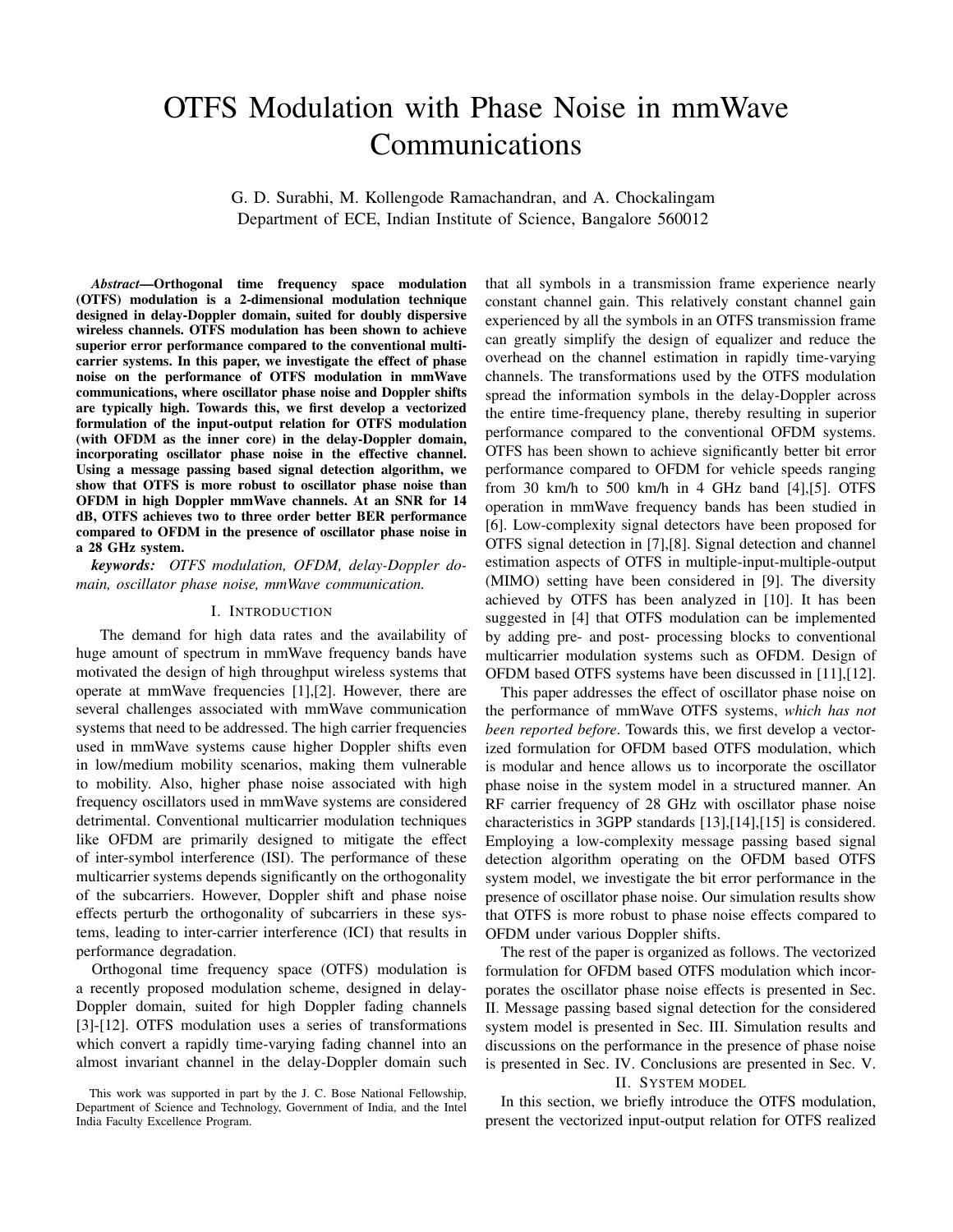# OTFS Modulation with Phase Noise in mmWave Communications

G. D. Surabhi, M. Kollengode Ramachandran, and A. Chockalingam Department of ECE, Indian Institute of Science, Bangalore 560012

*Abstract*—Orthogonal time frequency space modulation (OTFS) modulation is a 2-dimensional modulation technique designed in delay-Doppler domain, suited for doubly dispersive wireless channels. OTFS modulation has been shown to achieve superior error performance compared to the conventional multicarrier systems. In this paper, we investigate the effect of phase noise on the performance of OTFS modulation in mmWave communications, where oscillator phase noise and Doppler shifts are typically high. Towards this, we first develop a vectorized formulation of the input-output relation for OTFS modulation (with OFDM as the inner core) in the delay-Doppler domain, incorporating oscillator phase noise in the effective channel. Using a message passing based signal detection algorithm, we show that OTFS is more robust to oscillator phase noise than OFDM in high Doppler mmWave channels. At an SNR for 14 dB, OTFS achieves two to three order better BER performance compared to OFDM in the presence of oscillator phase noise in a 28 GHz system.

*keywords: OTFS modulation, OFDM, delay-Doppler domain, oscillator phase noise, mmWave communication.*

## I. INTRODUCTION

The demand for high data rates and the availability of huge amount of spectrum in mmWave frequency bands have motivated the design of high throughput wireless systems that operate at mmWave frequencies [1],[2]. However, there are several challenges associated with mmWave communication systems that need to be addressed. The high carrier frequencies used in mmWave systems cause higher Doppler shifts even in low/medium mobility scenarios, making them vulnerable to mobility. Also, higher phase noise associated with high frequency oscillators used in mmWave systems are considered detrimental. Conventional multicarrier modulation techniques like OFDM are primarily designed to mitigate the effect of inter-symbol interference (ISI). The performance of these multicarrier systems depends significantly on the orthogonality of the subcarriers. However, Doppler shift and phase noise effects perturb the orthogonality of subcarriers in these systems, leading to inter-carrier interference (ICI) that results in performance degradation.

Orthogonal time frequency space (OTFS) modulation is a recently proposed modulation scheme, designed in delay-Doppler domain, suited for high Doppler fading channels [3]-[12]. OTFS modulation uses a series of transformations which convert a rapidly time-varying fading channel into an almost invariant channel in the delay-Doppler domain such that all symbols in a transmission frame experience nearly constant channel gain. This relatively constant channel gain experienced by all the symbols in an OTFS transmission frame can greatly simplify the design of equalizer and reduce the overhead on the channel estimation in rapidly time-varying channels. The transformations used by the OTFS modulation spread the information symbols in the delay-Doppler across the entire time-frequency plane, thereby resulting in superior performance compared to the conventional OFDM systems. OTFS has been shown to achieve significantly better bit error performance compared to OFDM for vehicle speeds ranging from 30 km/h to 500 km/h in 4 GHz band  $[4]$ , [5]. OTFS operation in mmWave frequency bands has been studied in [6]. Low-complexity signal detectors have been proposed for OTFS signal detection in [7],[8]. Signal detection and channel estimation aspects of OTFS in multiple-input-multiple-output (MIMO) setting have been considered in [9]. The diversity achieved by OTFS has been analyzed in [10]. It has been suggested in [4] that OTFS modulation can be implemented by adding pre- and post- processing blocks to conventional multicarrier modulation systems such as OFDM. Design of OFDM based OTFS systems have been discussed in [11],[12].

This paper addresses the effect of oscillator phase noise on the performance of mmWave OTFS systems, *which has not been reported before*. Towards this, we first develop a vectorized formulation for OFDM based OTFS modulation, which is modular and hence allows us to incorporate the oscillator phase noise in the system model in a structured manner. An RF carrier frequency of 28 GHz with oscillator phase noise characteristics in 3GPP standards [13],[14],[15] is considered. Employing a low-complexity message passing based signal detection algorithm operating on the OFDM based OTFS system model, we investigate the bit error performance in the presence of oscillator phase noise. Our simulation results show that OTFS is more robust to phase noise effects compared to OFDM under various Doppler shifts.

The rest of the paper is organized as follows. The vectorized formulation for OFDM based OTFS modulation which incorporates the oscillator phase noise effects is presented in Sec. II. Message passing based signal detection for the considered system model is presented in Sec. III. Simulation results and discussions on the performance in the presence of phase noise is presented in Sec. IV. Conclusions are presented in Sec. V.

#### II. SYSTEM MODEL

In this section, we briefly introduce the OTFS modulation, present the vectorized input-output relation for OTFS realized

This work was supported in part by the J. C. Bose National Fellowship, Department of Science and Technology, Government of India, and the Intel India Faculty Excellence Program.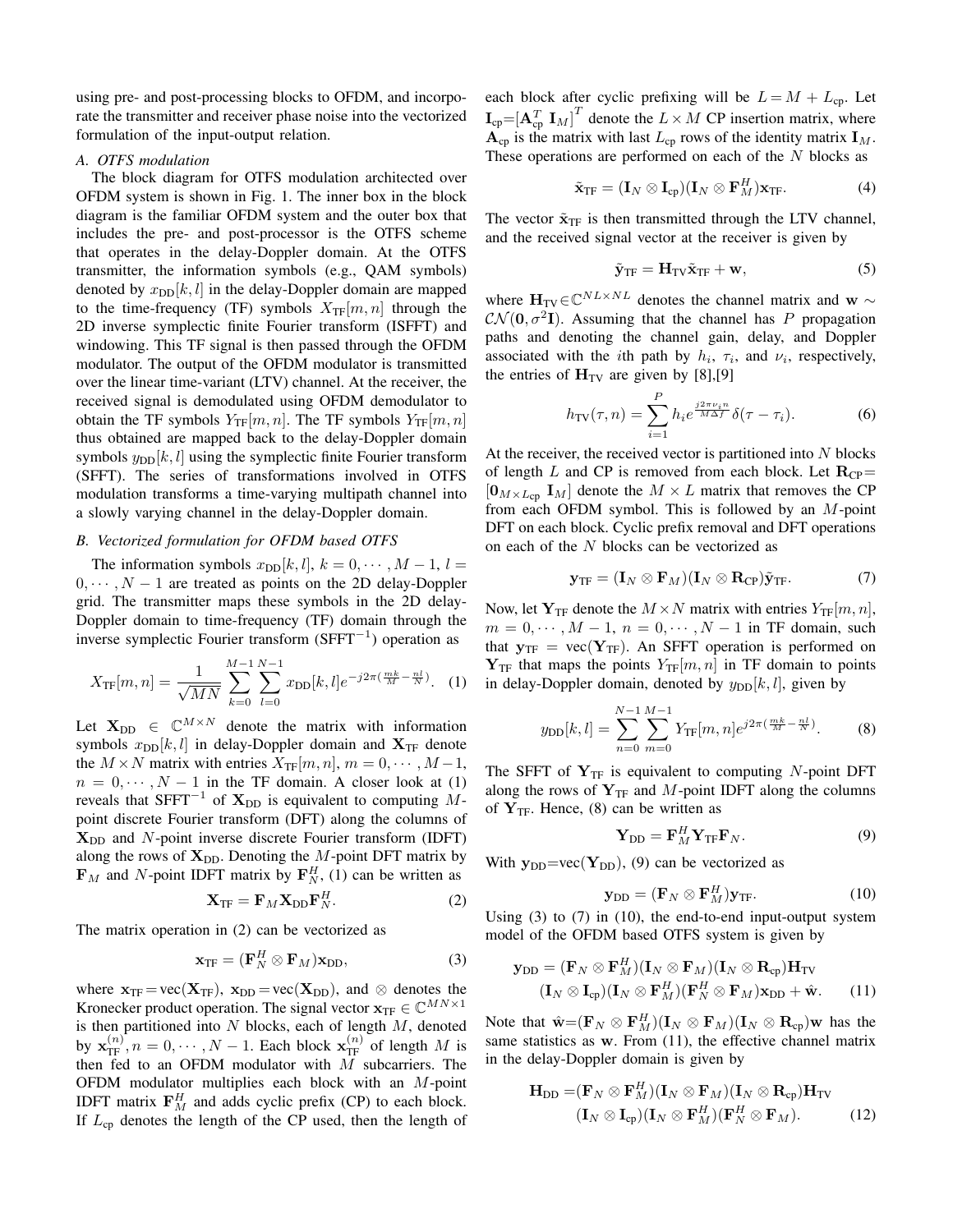using pre- and post-processing blocks to OFDM, and incorporate the transmitter and receiver phase noise into the vectorized formulation of the input-output relation.

## *A. OTFS modulation*

The block diagram for OTFS modulation architected over OFDM system is shown in Fig. 1. The inner box in the block diagram is the familiar OFDM system and the outer box that includes the pre- and post-processor is the OTFS scheme that operates in the delay-Doppler domain. At the OTFS transmitter, the information symbols (e.g., QAM symbols) denoted by  $x_{DD}[k, l]$  in the delay-Doppler domain are mapped to the time-frequency (TF) symbols  $X_{\text{TF}}[m, n]$  through the 2D inverse symplectic finite Fourier transform (ISFFT) and windowing. This TF signal is then passed through the OFDM modulator. The output of the OFDM modulator is transmitted over the linear time-variant (LTV) channel. At the receiver, the received signal is demodulated using OFDM demodulator to obtain the TF symbols  $Y_{\text{TF}}[m, n]$ . The TF symbols  $Y_{\text{TF}}[m, n]$ thus obtained are mapped back to the delay-Doppler domain symbols  $y_{\text{DD}}[k, l]$  using the symplectic finite Fourier transform (SFFT). The series of transformations involved in OTFS modulation transforms a time-varying multipath channel into a slowly varying channel in the delay-Doppler domain.

# *B. Vectorized formulation for OFDM based OTFS*

The information symbols  $x_{DD}[k, l], k = 0, \dots, M - 1, l =$  $0, \dots, N-1$  are treated as points on the 2D delay-Doppler grid. The transmitter maps these symbols in the 2D delay-Doppler domain to time-frequency (TF) domain through the inverse symplectic Fourier transform (SFFT<sup>−</sup><sup>1</sup> ) operation as

$$
X_{\text{TF}}[m,n] = \frac{1}{\sqrt{MN}} \sum_{k=0}^{M-1} \sum_{l=0}^{N-1} x_{\text{DD}}[k,l] e^{-j2\pi(\frac{mk}{M} - \frac{nl}{N})}.
$$
 (1)

Let  $X_{DD} \in \mathbb{C}^{M \times N}$  denote the matrix with information symbols  $x_{\text{DD}}[k, l]$  in delay-Doppler domain and  $X_{\text{TF}}$  denote the  $M \times N$  matrix with entries  $X_{\text{TF}}[m, n]$ ,  $m = 0, \cdots, M-1$ ,  $n = 0, \dots, N - 1$  in the TF domain. A closer look at (1) reveals that SFFT<sup>-1</sup> of  $\mathbf{X}_{\text{DD}}$  is equivalent to computing Mpoint discrete Fourier transform (DFT) along the columns of  $X_{DD}$  and N-point inverse discrete Fourier transform (IDFT) along the rows of  $X_{DD}$ . Denoting the M-point DFT matrix by  $\mathbf{F}_M$  and N-point IDFT matrix by  $\mathbf{F}_N^H$ , (1) can be written as

$$
\mathbf{X}_{\text{TF}} = \mathbf{F}_M \mathbf{X}_{\text{DD}} \mathbf{F}_N^H.
$$
 (2)

The matrix operation in (2) can be vectorized as

$$
\mathbf{x}_{\text{TF}} = (\mathbf{F}_{N}^{H} \otimes \mathbf{F}_{M}) \mathbf{x}_{\text{DD}}, \tag{3}
$$

where  $\mathbf{x}_{TF} = \text{vec}(\mathbf{X}_{TF})$ ,  $\mathbf{x}_{DD} = \text{vec}(\mathbf{X}_{DD})$ , and  $\otimes$  denotes the Kronecker product operation. The signal vector  $\mathbf{x}_{TF} \in \mathbb{C}^{MN \times 1}$ is then partitioned into  $N$  blocks, each of length  $M$ , denoted by  $\mathbf{x}_{\text{TF}}^{(n)}$ ,  $n = 0, \dots, N - 1$ . Each block  $\mathbf{x}_{\text{TF}}^{(n)}$  of length M is then fed to an OFDM modulator with  $\overline{M}$  subcarriers. The OFDM modulator multiplies each block with an M-point IDFT matrix  $F_M^H$  and adds cyclic prefix (CP) to each block. If  $L_{cp}$  denotes the length of the CP used, then the length of each block after cyclic prefixing will be  $L = M + L_{cp}$ . Let  $\mathbf{I}_{cp}$  =  $\begin{bmatrix} \mathbf{A}_{cp}^T & \mathbf{I}_M \end{bmatrix}^T$  denote the  $L \times M$  CP insertion matrix, where  $\mathbf{A}_{cp}$  is the matrix with last  $L_{cp}$  rows of the identity matrix  $\mathbf{I}_M$ . These operations are performed on each of the  $N$  blocks as

$$
\tilde{\mathbf{x}}_{\rm TF} = (\mathbf{I}_N \otimes \mathbf{I}_{\rm cp})(\mathbf{I}_N \otimes \mathbf{F}_M^H)\mathbf{x}_{\rm TF}.
$$
 (4)

The vector  $\tilde{\mathbf{x}}_{TF}$  is then transmitted through the LTV channel, and the received signal vector at the receiver is given by

$$
\tilde{\mathbf{y}}_{TF} = \mathbf{H}_{TV}\tilde{\mathbf{x}}_{TF} + \mathbf{w},\tag{5}
$$

where  $H_{TV} \in \mathbb{C}^{NL \times NL}$  denotes the channel matrix and w  $\sim$  $\mathcal{CN}(\mathbf{0}, \sigma^2 \mathbf{I})$ . Assuming that the channel has P propagation paths and denoting the channel gain, delay, and Doppler associated with the *i*th path by  $h_i$ ,  $\tau_i$ , and  $\nu_i$ , respectively, the entries of  $H_{TV}$  are given by [8],[9]

$$
h_{\rm TV}(\tau, n) = \sum_{i=1}^{P} h_i e^{\frac{j2\pi\nu_i n}{M\Delta f}} \delta(\tau - \tau_i).
$$
 (6)

At the receiver, the received vector is partitioned into  $N$  blocks of length L and CP is removed from each block. Let  $\mathbf{R}_{\text{CP}}=$  $[0_{M\times L_{CD}} I_M]$  denote the  $M \times L$  matrix that removes the CP from each OFDM symbol. This is followed by an  $M$ -point DFT on each block. Cyclic prefix removal and DFT operations on each of the  $N$  blocks can be vectorized as

$$
\mathbf{y}_{\rm TF} = (\mathbf{I}_N \otimes \mathbf{F}_M)(\mathbf{I}_N \otimes \mathbf{R}_{\rm CP})\tilde{\mathbf{y}}_{\rm TF}.
$$
 (7)

Now, let  $Y_{TF}$  denote the  $M \times N$  matrix with entries  $Y_{TF}[m, n]$ ,  $m = 0, \dots, M - 1, n = 0, \dots, N - 1$  in TF domain, such that  $y_{TF} = vec(Y_{TF})$ . An SFFT operation is performed on  $Y_{TF}$  that maps the points  $Y_{TF}[m, n]$  in TF domain to points in delay-Doppler domain, denoted by  $y_{DD}[k, l]$ , given by

$$
y_{\text{DD}}[k,l] = \sum_{n=0}^{N-1} \sum_{m=0}^{M-1} Y_{\text{TF}}[m,n] e^{j2\pi(\frac{mk}{M} - \frac{nl}{N})}.
$$
 (8)

The SFFT of  $Y_{TF}$  is equivalent to computing N-point DFT along the rows of  $Y_{TF}$  and M-point IDFT along the columns of  $Y_{TF}$ . Hence, (8) can be written as

$$
\mathbf{Y}_{\text{DD}} = \mathbf{F}_{M}^{H} \mathbf{Y}_{\text{TF}} \mathbf{F}_{N}.
$$
 (9)

With  $y_{DD} = \text{vec}(\mathbf{Y}_{DD})$ , (9) can be vectorized as

$$
\mathbf{y}_{\mathrm{DD}} = (\mathbf{F}_N \otimes \mathbf{F}_M^H) \mathbf{y}_{\mathrm{TF}}.
$$
 (10)

Using  $(3)$  to  $(7)$  in  $(10)$ , the end-to-end input-output system model of the OFDM based OTFS system is given by

$$
\mathbf{y}_{\text{DD}} = (\mathbf{F}_N \otimes \mathbf{F}_M^H)(\mathbf{I}_N \otimes \mathbf{F}_M)(\mathbf{I}_N \otimes \mathbf{R}_{\text{cp}})\mathbf{H}_{\text{TV}}(\mathbf{I}_N \otimes \mathbf{I}_{\text{cp}})(\mathbf{I}_N \otimes \mathbf{F}_M^H)(\mathbf{F}_N^H \otimes \mathbf{F}_M)\mathbf{x}_{\text{DD}} + \hat{\mathbf{w}}.
$$
 (11)

Note that  $\hat{\mathbf{w}} = (\mathbf{F}_N \otimes \mathbf{F}_M^H)(\mathbf{I}_N \otimes \mathbf{F}_M)(\mathbf{I}_N \otimes \mathbf{R}_{cp})\mathbf{w}$  has the same statistics as w. From (11), the effective channel matrix in the delay-Doppler domain is given by

$$
\mathbf{H}_{\mathrm{DD}} = (\mathbf{F}_N \otimes \mathbf{F}_M^H)(\mathbf{I}_N \otimes \mathbf{F}_M)(\mathbf{I}_N \otimes \mathbf{R}_{\mathrm{cp}})\mathbf{H}_{\mathrm{TV}} (\mathbf{I}_N \otimes \mathbf{I}_{\mathrm{cp}})(\mathbf{I}_N \otimes \mathbf{F}_M^H)(\mathbf{F}_N^H \otimes \mathbf{F}_M).
$$
 (12)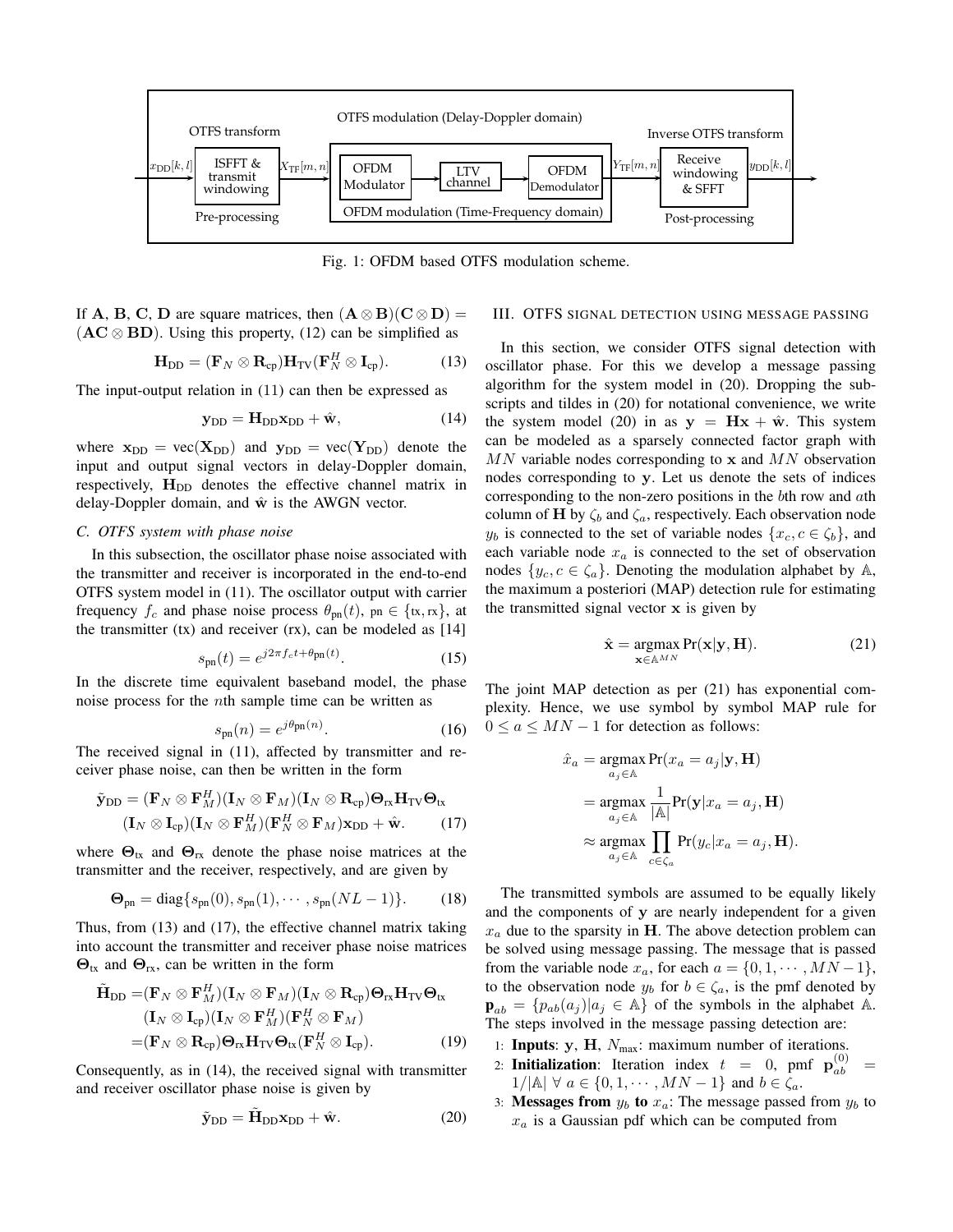

Fig. 1: OFDM based OTFS modulation scheme.

If A, B, C, D are square matrices, then  $(A \otimes B)(C \otimes D) =$  $(AC \otimes BD)$ . Using this property, (12) can be simplified as

$$
\mathbf{H}_{\mathrm{DD}} = (\mathbf{F}_N \otimes \mathbf{R}_{\mathrm{cp}}) \mathbf{H}_{\mathrm{TV}} (\mathbf{F}_N^H \otimes \mathbf{I}_{\mathrm{cp}}).
$$
 (13)

The input-output relation in (11) can then be expressed as

$$
\mathbf{y}_{DD} = \mathbf{H}_{DD}\mathbf{x}_{DD} + \hat{\mathbf{w}},\tag{14}
$$

where  $x_{DD} = vec(X_{DD})$  and  $y_{DD} = vec(Y_{DD})$  denote the input and output signal vectors in delay-Doppler domain, respectively,  $H_{DD}$  denotes the effective channel matrix in delay-Doppler domain, and  $\hat{w}$  is the AWGN vector.

## *C. OTFS system with phase noise*

In this subsection, the oscillator phase noise associated with the transmitter and receiver is incorporated in the end-to-end OTFS system model in (11). The oscillator output with carrier frequency  $f_c$  and phase noise process  $\theta_{\rm pn}(t)$ , pn  $\in \{\text{tx}, \text{rx}\}\,$ , at the transmitter  $(tx)$  and receiver  $(rx)$ , can be modeled as  $[14]$ 

$$
s_{\rm pn}(t) = e^{j2\pi f_c t + \theta_{\rm pn}(t)}.\tag{15}
$$

In the discrete time equivalent baseband model, the phase noise process for the  $n$ th sample time can be written as

$$
s_{\rm pn}(n) = e^{j\theta_{\rm pn}(n)}.\tag{16}
$$

The received signal in (11), affected by transmitter and receiver phase noise, can then be written in the form

$$
\tilde{\mathbf{y}}_{\text{DD}} = (\mathbf{F}_N \otimes \mathbf{F}_M^H)(\mathbf{I}_N \otimes \mathbf{F}_M)(\mathbf{I}_N \otimes \mathbf{R}_{\text{cp}}) \mathbf{\Theta}_{\text{rx}} \mathbf{H}_{\text{TV}} \mathbf{\Theta}_{\text{tx}} (\mathbf{I}_N \otimes \mathbf{I}_{\text{cp}})(\mathbf{I}_N \otimes \mathbf{F}_M^H)(\mathbf{F}_N^H \otimes \mathbf{F}_M) \mathbf{x}_{\text{DD}} + \hat{\mathbf{w}}.
$$
 (17)

where  $\Theta_{\text{tx}}$  and  $\Theta_{\text{rx}}$  denote the phase noise matrices at the transmitter and the receiver, respectively, and are given by

$$
\Theta_{\rm pn} = \text{diag}\{s_{\rm pn}(0), s_{\rm pn}(1), \cdots, s_{\rm pn}(NL-1)\}.
$$
 (18)

Thus, from (13) and (17), the effective channel matrix taking into account the transmitter and receiver phase noise matrices  $\Theta_{\text{tx}}$  and  $\Theta_{\text{rx}}$ , can be written in the form

$$
\tilde{\mathbf{H}}_{\text{DD}} = (\mathbf{F}_N \otimes \mathbf{F}_M^H)(\mathbf{I}_N \otimes \mathbf{F}_M)(\mathbf{I}_N \otimes \mathbf{R}_{\text{cp}}) \mathbf{\Theta}_{\text{rx}} \mathbf{H}_{\text{TV}} \mathbf{\Theta}_{\text{tx}} \n(\mathbf{I}_N \otimes \mathbf{I}_{\text{cp}})(\mathbf{I}_N \otimes \mathbf{F}_M^H)(\mathbf{F}_N^H \otimes \mathbf{F}_M) \n= (\mathbf{F}_N \otimes \mathbf{R}_{\text{cp}}) \mathbf{\Theta}_{\text{rx}} \mathbf{H}_{\text{TV}} \mathbf{\Theta}_{\text{tx}}(\mathbf{F}_N^H \otimes \mathbf{I}_{\text{cp}}).
$$
\n(19)

Consequently, as in (14), the received signal with transmitter and receiver oscillator phase noise is given by

$$
\tilde{\mathbf{y}}_{\text{DD}} = \tilde{\mathbf{H}}_{\text{DD}} \mathbf{x}_{\text{DD}} + \hat{\mathbf{w}}.\tag{20}
$$

### III. OTFS SIGNAL DETECTION USING MESSAGE PASSING

In this section, we consider OTFS signal detection with oscillator phase. For this we develop a message passing algorithm for the system model in (20). Dropping the subscripts and tildes in (20) for notational convenience, we write the system model (20) in as  $y = Hx + \hat{w}$ . This system can be modeled as a sparsely connected factor graph with  $MN$  variable nodes corresponding to x and  $MN$  observation nodes corresponding to y. Let us denote the sets of indices corresponding to the non-zero positions in the  $b$ th row and  $a$ th column of H by  $\zeta_b$  and  $\zeta_a$ , respectively. Each observation node  $y_b$  is connected to the set of variable nodes  $\{x_c, c \in \zeta_b\}$ , and each variable node  $x_a$  is connected to the set of observation nodes  $\{y_c, c \in \zeta_a\}$ . Denoting the modulation alphabet by A, the maximum a posteriori (MAP) detection rule for estimating the transmitted signal vector  $x$  is given by

$$
\hat{\mathbf{x}} = \underset{\mathbf{x} \in \mathbb{A}^{MN}}{\operatorname{argmax}} \Pr(\mathbf{x} | \mathbf{y}, \mathbf{H}). \tag{21}
$$

The joint MAP detection as per (21) has exponential complexity. Hence, we use symbol by symbol MAP rule for  $0 \le a \le MN - 1$  for detection as follows:

$$
\hat{x}_a = \operatorname*{argmax}_{a_j \in \mathbb{A}} \Pr(x_a = a_j | \mathbf{y}, \mathbf{H})
$$
\n
$$
= \operatorname*{argmax}_{a_j \in \mathbb{A}} \frac{1}{|\mathbb{A}|} \Pr(\mathbf{y} | x_a = a_j, \mathbf{H})
$$
\n
$$
\approx \operatorname*{argmax}_{a_j \in \mathbb{A}} \prod_{c \in \zeta_a} \Pr(y_c | x_a = a_j, \mathbf{H}).
$$

The transmitted symbols are assumed to be equally likely and the components of y are nearly independent for a given  $x_a$  due to the sparsity in H. The above detection problem can be solved using message passing. The message that is passed from the variable node  $x_a$ , for each  $a = \{0, 1, \dots, MN - 1\}$ , to the observation node  $y_b$  for  $b \in \zeta_a$ , is the pmf denoted by  $\mathbf{p}_{ab} = \{p_{ab}(a_j) | a_j \in \mathbb{A}\}\$  of the symbols in the alphabet A. The steps involved in the message passing detection are:

- 1: Inputs:  $y$ , H,  $N_{max}$ : maximum number of iterations.
- 2: **Initialization**: Iteration index  $t = 0$ , pmf  $\mathbf{p}_{ab}^{(0)} =$  $1/|\mathbb{A}| \ \forall \ a \in \{0, 1, \cdots, MN - 1\}$  and  $b \in \zeta_a$ .
- 3: Messages from  $y_b$  to  $x_a$ : The message passed from  $y_b$  to  $x_a$  is a Gaussian pdf which can be computed from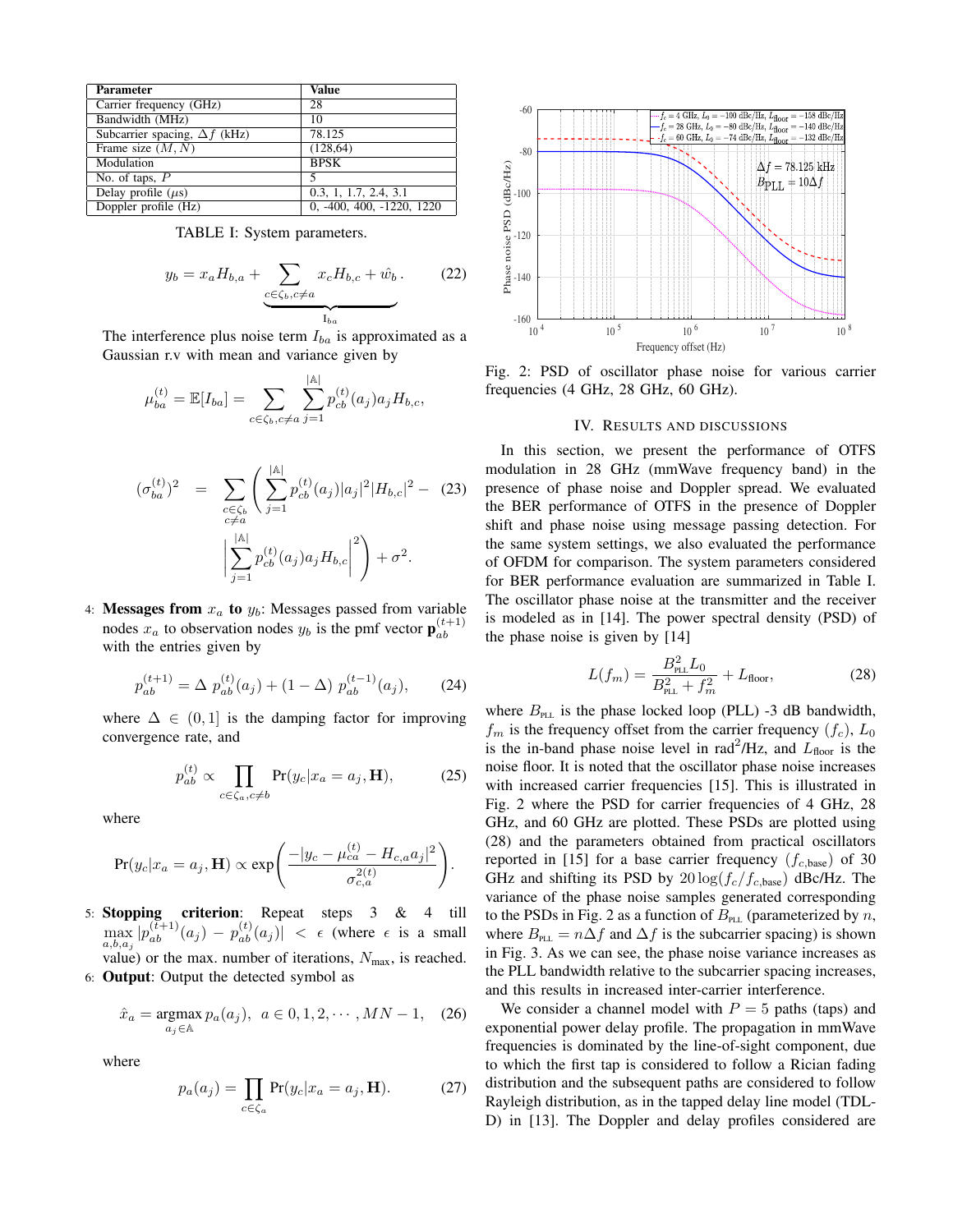| <b>Parameter</b>                     | <b>Value</b>              |
|--------------------------------------|---------------------------|
| Carrier frequency (GHz)              | 28                        |
| Bandwidth (MHz)                      | 10                        |
| Subcarrier spacing, $\Delta f$ (kHz) | 78.125                    |
| Frame size $(M, N)$                  | (128, 64)                 |
| Modulation                           | <b>BPSK</b>               |
| No. of taps, $P$                     |                           |
| Delay profile $(\mu s)$              | 0.3, 1, 1.7, 2.4, 3.1     |
| Doppler profile (Hz)                 | 0, -400, 400, -1220, 1220 |

TABLE I: System parameters.

$$
y_b = x_a H_{b,a} + \underbrace{\sum_{c \in \zeta_b, c \neq a} x_c H_{b,c} + \hat{w}_b.}_{I_{ba}} \tag{22}
$$

The interference plus noise term  $I_{ba}$  is approximated as a Gaussian r.v with mean and variance given by

$$
\mu_{ba}^{(t)} = \mathbb{E}[I_{ba}] = \sum_{c \in \zeta_b, c \neq a} \sum_{j=1}^{|A|} p_{cb}^{(t)}(a_j) a_j H_{b,c},
$$

$$
(\sigma_{ba}^{(t)})^2 = \sum_{\substack{c \in \zeta_b \\ c \neq a}} \left( \sum_{j=1}^{|A|} p_{cb}^{(t)}(a_j) |a_j|^2 |H_{b,c}|^2 - (23) \right)
$$

$$
\left| \sum_{j=1}^{|A|} p_{cb}^{(t)}(a_j) a_j H_{b,c} \right|^2 \right) + \sigma^2.
$$

4: Messages from  $x_a$  to  $y_b$ : Messages passed from variable nodes  $x_a$  to observation nodes  $y_b$  is the pmf vector  $\mathbf{p}_{ab}^{(t+1)}$ ab with the entries given by

$$
p_{ab}^{(t+1)} = \Delta p_{ab}^{(t)}(a_j) + (1 - \Delta) p_{ab}^{(t-1)}(a_j), \qquad (24)
$$

where  $\Delta \in (0, 1]$  is the damping factor for improving convergence rate, and

$$
p_{ab}^{(t)} \propto \prod_{c \in \zeta_a, c \neq b} \Pr(y_c | x_a = a_j, \mathbf{H}), \tag{25}
$$

where

$$
\Pr(y_c|x_a=a_j, \mathbf{H}) \propto \exp\left(\frac{-|y_c - \mu_{ca}^{(t)} - H_{c,a}a_j|^2}{\sigma_{c,a}^{2(t)}}\right).
$$

5: Stopping criterion: Repeat steps 3 & 4 till  $\max_{a,b,a_j} |p_{ab}^{(t+1)}(a_j) - p_{ab}^{(t)}(a_j)| < \epsilon$  (where  $\epsilon$  is a small value) or the max. number of iterations,  $N_{\text{max}}$ , is reached. 6: Output: Output the detected symbol as

$$
\hat{x}_a = \underset{a_j \in \mathbb{A}}{\text{argmax}} \ p_a(a_j), \ \ a \in 0, 1, 2, \cdots, MN - 1, \tag{26}
$$

where

$$
p_a(a_j) = \prod_{c \in \zeta_a} \Pr(y_c | x_a = a_j, \mathbf{H}).\tag{27}
$$



Fig. 2: PSD of oscillator phase noise for various carrier frequencies (4 GHz, 28 GHz, 60 GHz).

## IV. RESULTS AND DISCUSSIONS

In this section, we present the performance of OTFS modulation in 28 GHz (mmWave frequency band) in the presence of phase noise and Doppler spread. We evaluated the BER performance of OTFS in the presence of Doppler shift and phase noise using message passing detection. For the same system settings, we also evaluated the performance of OFDM for comparison. The system parameters considered for BER performance evaluation are summarized in Table I. The oscillator phase noise at the transmitter and the receiver is modeled as in [14]. The power spectral density (PSD) of the phase noise is given by [14]

$$
L(f_m) = \frac{B_{\text{PL}}^2 L_0}{B_{\text{PL}}^2 + f_m^2} + L_{\text{floor}},\tag{28}
$$

where  $B_{\text{PL}}$  is the phase locked loop (PLL) -3 dB bandwidth,  $f_m$  is the frequency offset from the carrier frequency  $(f_c)$ ,  $L_0$ is the in-band phase noise level in rad<sup>2</sup>/Hz, and  $L_{\text{floor}}$  is the noise floor. It is noted that the oscillator phase noise increases with increased carrier frequencies [15]. This is illustrated in Fig. 2 where the PSD for carrier frequencies of 4 GHz, 28 GHz, and 60 GHz are plotted. These PSDs are plotted using (28) and the parameters obtained from practical oscillators reported in [15] for a base carrier frequency  $(f_{c,\text{base}})$  of 30 GHz and shifting its PSD by  $20 \log(f_c/f_{c,\text{base}})$  dBc/Hz. The variance of the phase noise samples generated corresponding to the PSDs in Fig. 2 as a function of  $B<sub>PLL</sub>$  (parameterized by n, where  $B_{\text{PL}} = n\Delta f$  and  $\Delta f$  is the subcarrier spacing) is shown in Fig. 3. As we can see, the phase noise variance increases as the PLL bandwidth relative to the subcarrier spacing increases, and this results in increased inter-carrier interference.

We consider a channel model with  $P = 5$  paths (taps) and exponential power delay profile. The propagation in mmWave frequencies is dominated by the line-of-sight component, due to which the first tap is considered to follow a Rician fading distribution and the subsequent paths are considered to follow Rayleigh distribution, as in the tapped delay line model (TDL-D) in [13]. The Doppler and delay profiles considered are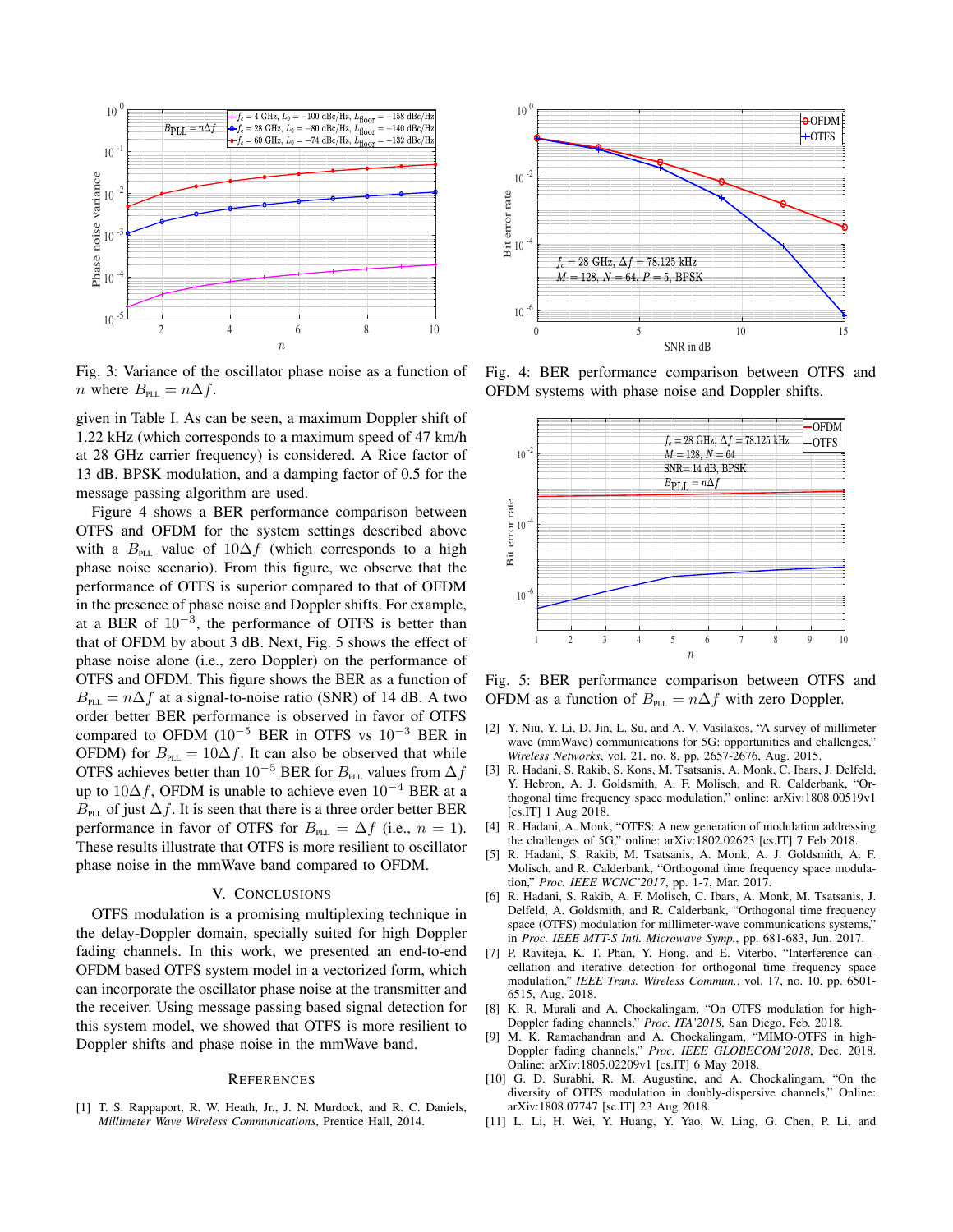

Fig. 3: Variance of the oscillator phase noise as a function of *n* where  $B_{\text{PLL}} = n\Delta f$ .

given in Table I. As can be seen, a maximum Doppler shift of 1.22 kHz (which corresponds to a maximum speed of 47 km/h at 28 GHz carrier frequency) is considered. A Rice factor of 13 dB, BPSK modulation, and a damping factor of 0.5 for the message passing algorithm are used.

Figure 4 shows a BER performance comparison between OTFS and OFDM for the system settings described above with a  $B_{\text{PL}}$  value of  $10\Delta f$  (which corresponds to a high phase noise scenario). From this figure, we observe that the performance of OTFS is superior compared to that of OFDM in the presence of phase noise and Doppler shifts. For example, at a BER of  $10^{-3}$ , the performance of OTFS is better than that of OFDM by about 3 dB. Next, Fig. 5 shows the effect of phase noise alone (i.e., zero Doppler) on the performance of OTFS and OFDM. This figure shows the BER as a function of  $B_{\text{PL}} = n\Delta f$  at a signal-to-noise ratio (SNR) of 14 dB. A two order better BER performance is observed in favor of OTFS compared to OFDM  $(10^{-5}$  BER in OTFS vs  $10^{-3}$  BER in OFDM) for  $B_{PL} = 10 \Delta f$ . It can also be observed that while OTFS achieves better than 10<sup>-5</sup> BER for  $B_{PL}$  values from  $\Delta f$ up to 10 $\Delta f$ , OFDM is unable to achieve even  $10^{-4}$  BER at a  $B_{\text{PL}}$  of just  $\Delta f$ . It is seen that there is a three order better BER performance in favor of OTFS for  $B_{PL} = \Delta f$  (i.e.,  $n = 1$ ). These results illustrate that OTFS is more resilient to oscillator phase noise in the mmWave band compared to OFDM.

#### V. CONCLUSIONS

OTFS modulation is a promising multiplexing technique in the delay-Doppler domain, specially suited for high Doppler fading channels. In this work, we presented an end-to-end OFDM based OTFS system model in a vectorized form, which can incorporate the oscillator phase noise at the transmitter and the receiver. Using message passing based signal detection for this system model, we showed that OTFS is more resilient to Doppler shifts and phase noise in the mmWave band.

#### **REFERENCES**

[1] T. S. Rappaport, R. W. Heath, Jr., J. N. Murdock, and R. C. Daniels, *Millimeter Wave Wireless Communications*, Prentice Hall, 2014.



Fig. 4: BER performance comparison between OTFS and OFDM systems with phase noise and Doppler shifts.



Fig. 5: BER performance comparison between OTFS and OFDM as a function of  $B_{PL} = n\Delta f$  with zero Doppler.

- [2] Y. Niu, Y. Li, D. Jin, L. Su, and A. V. Vasilakos, "A survey of millimeter wave (mmWave) communications for 5G: opportunities and challenges," *Wireless Networks*, vol. 21, no. 8, pp. 2657-2676, Aug. 2015.
- [3] R. Hadani, S. Rakib, S. Kons, M. Tsatsanis, A. Monk, C. Ibars, J. Delfeld, Y. Hebron, A. J. Goldsmith, A. F. Molisch, and R. Calderbank, "Orthogonal time frequency space modulation," online: arXiv:1808.00519v1 [cs.IT] 1 Aug 2018.
- [4] R. Hadani, A. Monk, "OTFS: A new generation of modulation addressing the challenges of 5G," online: arXiv:1802.02623 [cs.IT] 7 Feb 2018.
- [5] R. Hadani, S. Rakib, M. Tsatsanis, A. Monk, A. J. Goldsmith, A. F. Molisch, and R. Calderbank, "Orthogonal time frequency space modulation," *Proc. IEEE WCNC'2017*, pp. 1-7, Mar. 2017.
- [6] R. Hadani, S. Rakib, A. F. Molisch, C. Ibars, A. Monk, M. Tsatsanis, J. Delfeld, A. Goldsmith, and R. Calderbank, "Orthogonal time frequency space (OTFS) modulation for millimeter-wave communications systems, in *Proc. IEEE MTT-S Intl. Microwave Symp.*, pp. 681-683, Jun. 2017.
- [7] P. Raviteja, K. T. Phan, Y. Hong, and E. Viterbo, "Interference cancellation and iterative detection for orthogonal time frequency space modulation," *IEEE Trans. Wireless Commun.*, vol. 17, no. 10, pp. 6501- 6515, Aug. 2018.
- [8] K. R. Murali and A. Chockalingam, "On OTFS modulation for high-Doppler fading channels," *Proc. ITA'2018*, San Diego, Feb. 2018.
- [9] M. K. Ramachandran and A. Chockalingam, "MIMO-OTFS in high-Doppler fading channels," *Proc. IEEE GLOBECOM'2018*, Dec. 2018. Online: arXiv:1805.02209v1 [cs.IT] 6 May 2018.
- [10] G. D. Surabhi, R. M. Augustine, and A. Chockalingam, "On the diversity of OTFS modulation in doubly-dispersive channels," Online: arXiv:1808.07747 [sc.IT] 23 Aug 2018.
- [11] L. Li, H. Wei, Y. Huang, Y. Yao, W. Ling, G. Chen, P. Li, and